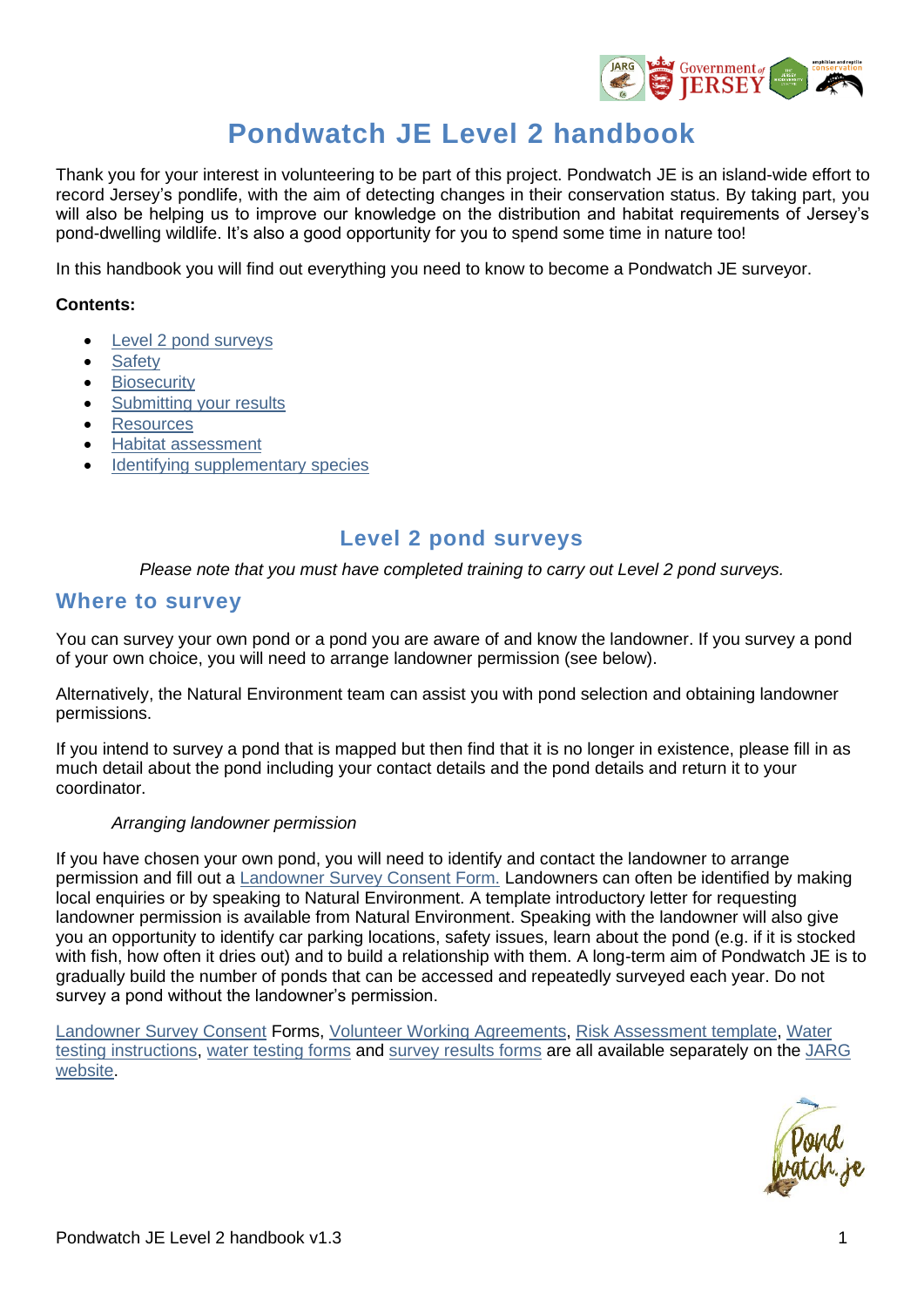

# **Pondwatch JE Level 2 handbook**

Thank you for your interest in volunteering to be part of this project. Pondwatch JE is an island-wide effort to record Jersey's pondlife, with the aim of detecting changes in their conservation status. By taking part, you will also be helping us to improve our knowledge on the distribution and habitat requirements of Jersey's pond-dwelling wildlife. It's also a good opportunity for you to spend some time in nature too!

In this handbook you will find out everything you need to know to become a Pondwatch JE surveyor.

#### **Contents:**

- **[Level 2 pond surveys](#page-0-0)**
- **[Safety](#page-4-0)**
- **[Biosecurity](#page-4-1)**
- [Submitting your results](#page-4-2)
- [Resources](#page-5-0)
- [Habitat assessment](#page-6-0)
- <span id="page-0-0"></span>[Identifying supplementary species](#page-12-0)

## **Level 2 pond surveys**

*Please note that you must have completed training to carry out Level 2 pond surveys.*

### **Where to survey**

You can survey your own pond or a pond you are aware of and know the landowner. If you survey a pond of your own choice, you will need to arrange landowner permission (see below).

Alternatively, the Natural Environment team can assist you with pond selection and obtaining landowner permissions.

If you intend to survey a pond that is mapped but then find that it is no longer in existence, please fill in as much detail about the pond including your contact details and the pond details and return it to your coordinator.

#### *Arranging landowner permission*

If you have chosen your own pond, you will need to identify and contact the landowner to arrange permission and fill out a [Landowner Survey Consent Form.](https://groups.arguk.org/images/users/70/downloads/NE-F-_Survey_Landowner_Consent_form.pdf) Landowners can often be identified by making local enquiries or by speaking to Natural Environment. A template introductory letter for requesting landowner permission is available from Natural Environment. Speaking with the landowner will also give you an opportunity to identify car parking locations, safety issues, learn about the pond (e.g. if it is stocked with fish, how often it dries out) and to build a relationship with them. A long-term aim of Pondwatch JE is to gradually build the number of ponds that can be accessed and repeatedly surveyed each year. Do not survey a pond without the landowner's permission.

[Landowner Survey Consent](https://groups.arguk.org/images/users/70/downloads/NE-F-_Survey_Landowner_Consent_form.pdf) Forms, [Volunteer Working Agreements,](https://groups.arguk.org/images/users/70/downloads/NE-F-JARG_Volunteer_Working_Agreement_2022.pdf) [Risk Assessment](https://groups.arguk.org/images/users/70/downloads/ARG_UK_Generic_Risk_Assessment_Feb_2018.doc) template, [Water](https://groups.arguk.org/images/users/70/downloads/Pondwatch_JE_Water_quality_handbook_v1.1.pdf)  [testing instructions,](https://groups.arguk.org/images/users/70/downloads/Pondwatch_JE_Water_quality_handbook_v1.1.pdf) [water testing forms](https://groups.arguk.org/images/users/70/downloads/PondwatchJEWaterTestForm.pdf) and [survey results forms](https://groups.arguk.org/images/users/70/downloads/NE-F-Pondwatch_level_2_survey_form_v1.3_2022.docx) are all available separately on the [JARG](https://groups.arguk.org/jarg)  [website.](https://groups.arguk.org/jarg)

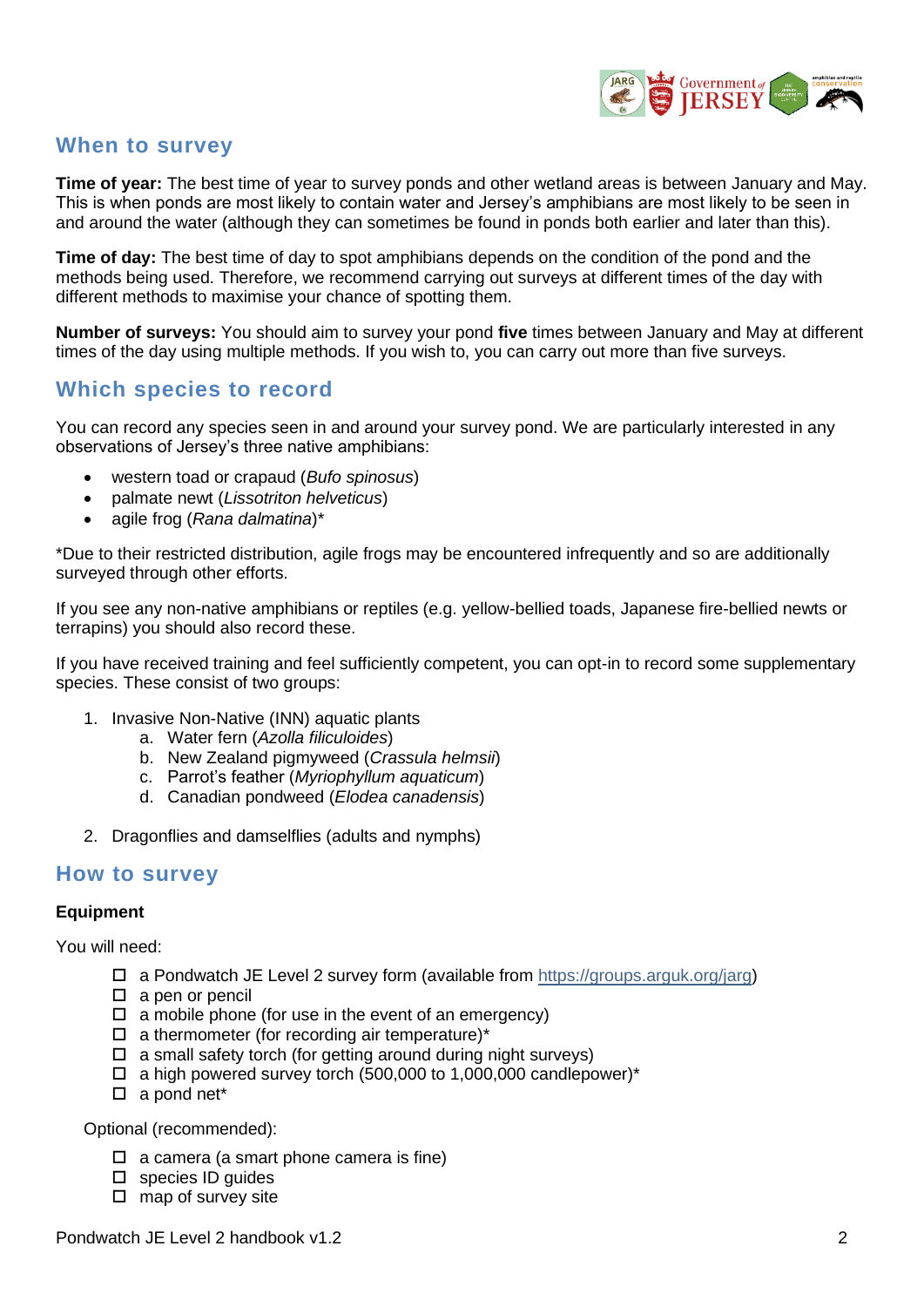

### **When to survey**

**Time of year:** The best time of year to survey ponds and other wetland areas is between January and May. This is when ponds are most likely to contain water and Jersey's amphibians are most likely to be seen in and around the water (although they can sometimes be found in ponds both earlier and later than this).

**Time of day:** The best time of day to spot amphibians depends on the condition of the pond and the methods being used. Therefore, we recommend carrying out surveys at different times of the day with different methods to maximise your chance of spotting them.

**Number of surveys:** You should aim to survey your pond **five** times between January and May at different times of the day using multiple methods. If you wish to, you can carry out more than five surveys.

### **Which species to record**

You can record any species seen in and around your survey pond. We are particularly interested in any observations of Jersey's three native amphibians:

- western toad or crapaud (*Bufo spinosus*)
- palmate newt (*Lissotriton helveticus*)
- agile frog (*Rana dalmatina*)\*

\*Due to their restricted distribution, agile frogs may be encountered infrequently and so are additionally surveyed through other efforts.

If you see any non-native amphibians or reptiles (e.g. yellow-bellied toads, Japanese fire-bellied newts or terrapins) you should also record these.

If you have received training and feel sufficiently competent, you can opt-in to record some supplementary species. These consist of two groups:

- 1. Invasive Non-Native (INN) aquatic plants
	- a. Water fern (*Azolla filiculoides*)
	- b. New Zealand pigmyweed (*Crassula helmsii*)
	- c. Parrot's feather (*Myriophyllum aquaticum*)
	- d. Canadian pondweed (*Elodea canadensis*)
- 2. Dragonflies and damselflies (adults and nymphs)

### **How to survey**

#### **Equipment**

You will need:

- $\Box$  a Pondwatch JE Level 2 survey form (available from [https://groups.arguk.org/jarg\)](https://groups.arguk.org/jarg)
- $\square$  a pen or pencil
- $\Box$  a mobile phone (for use in the event of an emergency)
- $\Box$  a thermometer (for recording air temperature)\*
- $\Box$  a small safety torch (for getting around during night surveys)
- $\Box$  a high powered survey torch (500,000 to 1,000,000 candlepower)\*
- $\square$  a pond net\*

Optional (recommended):

- $\Box$  a camera (a smart phone camera is fine)
- $\square$  species ID quides
- $\square$  map of survey site

Pondwatch JE Level 2 handbook v1.2 2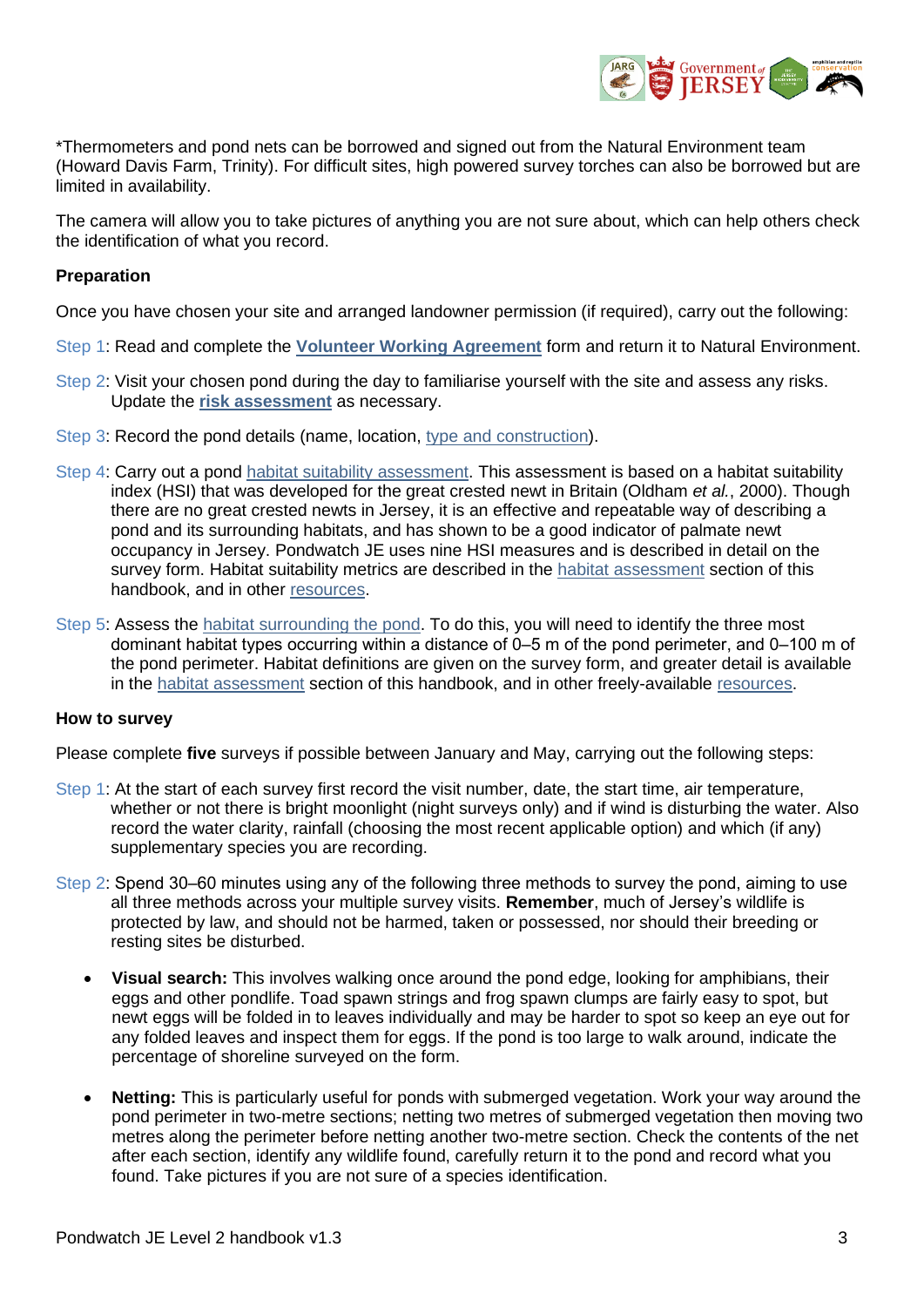

\*Thermometers and pond nets can be borrowed and signed out from the Natural Environment team (Howard Davis Farm, Trinity). For difficult sites, high powered survey torches can also be borrowed but are limited in availability.

The camera will allow you to take pictures of anything you are not sure about, which can help others check the identification of what you record.

#### **Preparation**

Once you have chosen your site and arranged landowner permission (if required), carry out the following:

- Step 1: Read and complete the **[Volunteer Working Agreement](https://groups.arguk.org/images/users/70/downloads/Volunteer_Working_Agreement.pdf)** form and return it to Natural Environment.
- Step 2: Visit your chosen pond during the day to familiarise yourself with the site and assess any risks. Update the **[risk assessment](https://groups.arguk.org/images/users/70/downloads/ARG_UK_Generic_Risk_Assessment_Feb_2018.doc)** as necessary.
- Step 3: Record the pond details (name, location, [type and construction\)](#page-6-1).
- Step 4: Carry out a pond [habitat suitability assessment.](#page-7-0) This assessment is based on a habitat suitability index (HSI) that was developed for the great crested newt in Britain (Oldham *et al.*, 2000). Though there are no great crested newts in Jersey, it is an effective and repeatable way of describing a pond and its surrounding habitats, and has shown to be a good indicator of palmate newt occupancy in Jersey. Pondwatch JE uses nine HSI measures and is described in detail on the survey form. Habitat suitability metrics are described in the [habitat assessment](#page-6-0) section of this handbook, and in other [resources.](#page-5-0)
- Step 5: Assess the [habitat surrounding the pond.](#page-7-1) To do this, you will need to identify the three most dominant habitat types occurring within a distance of 0–5 m of the pond perimeter, and 0–100 m of the pond perimeter. Habitat definitions are given on the survey form, and greater detail is available in the [habitat assessment](#page-6-0) section of this handbook, and in other freely-available [resources.](#page-5-0)

#### **How to survey**

Please complete **five** surveys if possible between January and May, carrying out the following steps:

- Step 1: At the start of each survey first record the visit number, date, the start time, air temperature, whether or not there is bright moonlight (night surveys only) and if wind is disturbing the water. Also record the water clarity, rainfall (choosing the most recent applicable option) and which (if any) supplementary species you are recording.
- Step 2: Spend 30–60 minutes using any of the following three methods to survey the pond, aiming to use all three methods across your multiple survey visits. **Remember**, much of Jersey's wildlife is protected by law, and should not be harmed, taken or possessed, nor should their breeding or resting sites be disturbed.
	- **Visual search:** This involves walking once around the pond edge, looking for amphibians, their eggs and other pondlife. Toad spawn strings and frog spawn clumps are fairly easy to spot, but newt eggs will be folded in to leaves individually and may be harder to spot so keep an eye out for any folded leaves and inspect them for eggs. If the pond is too large to walk around, indicate the percentage of shoreline surveyed on the form.
	- **Netting:** This is particularly useful for ponds with submerged vegetation. Work your way around the pond perimeter in two-metre sections; netting two metres of submerged vegetation then moving two metres along the perimeter before netting another two-metre section. Check the contents of the net after each section, identify any wildlife found, carefully return it to the pond and record what you found. Take pictures if you are not sure of a species identification.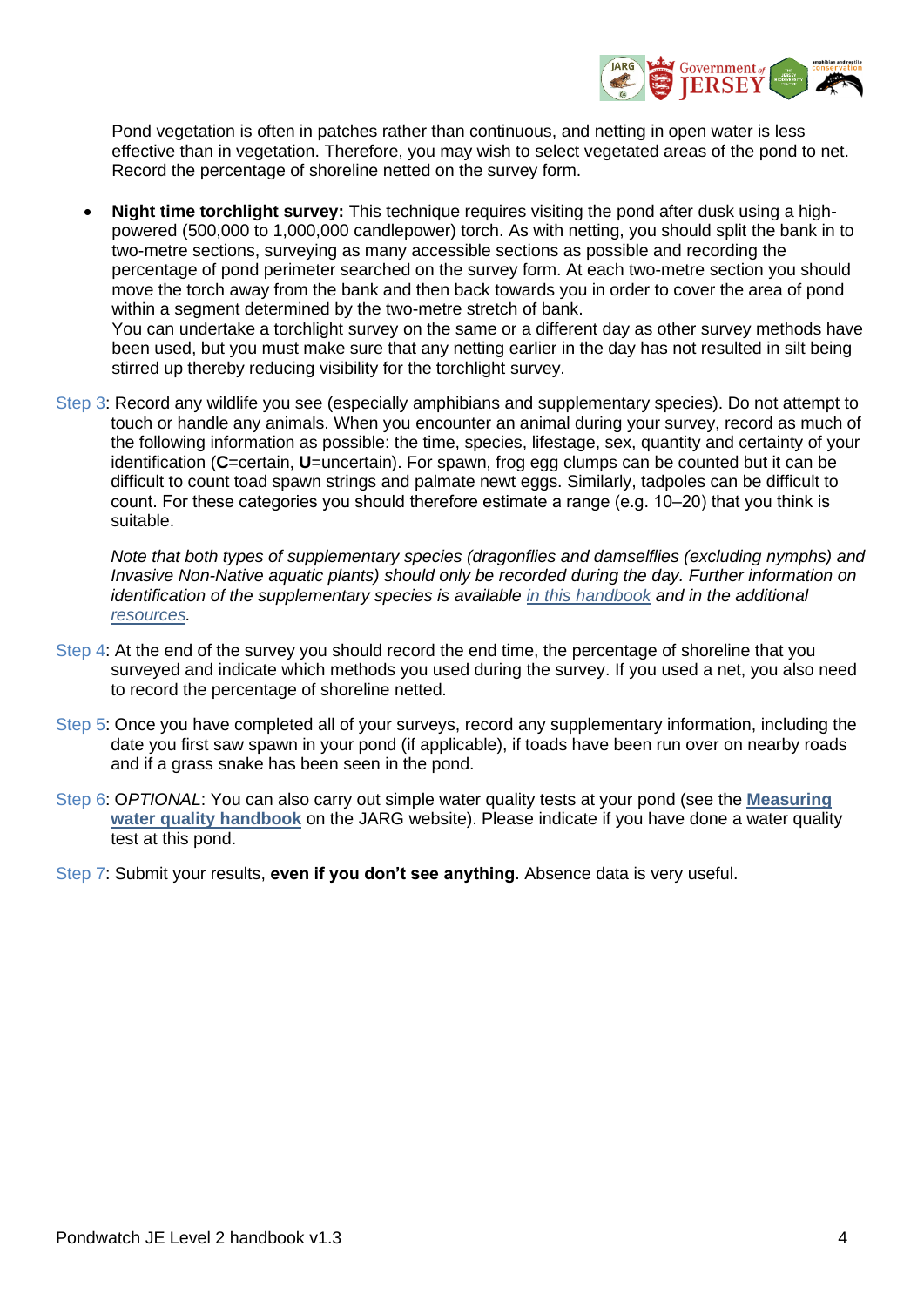

Pond vegetation is often in patches rather than continuous, and netting in open water is less effective than in vegetation. Therefore, you may wish to select vegetated areas of the pond to net. Record the percentage of shoreline netted on the survey form.

- **Night time torchlight survey:** This technique requires visiting the pond after dusk using a highpowered (500,000 to 1,000,000 candlepower) torch. As with netting, you should split the bank in to two-metre sections, surveying as many accessible sections as possible and recording the percentage of pond perimeter searched on the survey form. At each two-metre section you should move the torch away from the bank and then back towards you in order to cover the area of pond within a segment determined by the two-metre stretch of bank. You can undertake a torchlight survey on the same or a different day as other survey methods have been used, but you must make sure that any netting earlier in the day has not resulted in silt being stirred up thereby reducing visibility for the torchlight survey.
- Step 3: Record any wildlife you see (especially amphibians and supplementary species). Do not attempt to touch or handle any animals. When you encounter an animal during your survey, record as much of the following information as possible: the time, species, lifestage, sex, quantity and certainty of your identification (**C**=certain, **U**=uncertain). For spawn, frog egg clumps can be counted but it can be difficult to count toad spawn strings and palmate newt eggs. Similarly, tadpoles can be difficult to count. For these categories you should therefore estimate a range (e.g. 10–20) that you think is suitable.

*Note that both types of supplementary species (dragonflies and damselflies (excluding nymphs) and Invasive Non-Native aquatic plants) should only be recorded during the day. Further information on identification of the supplementary species is available [in this handbook](#page-6-0) and in the additional [resources.](#page-5-0)*

- Step 4: At the end of the survey you should record the end time, the percentage of shoreline that you surveyed and indicate which methods you used during the survey. If you used a net, you also need to record the percentage of shoreline netted.
- Step 5: Once you have completed all of your surveys, record any supplementary information, including the date you first saw spawn in your pond (if applicable), if toads have been run over on nearby roads and if a grass snake has been seen in the pond.
- Step 6: O*PTIONAL*: You can also carry out simple water quality tests at your pond (see the **[Measuring](https://groups.arguk.org/images/users/70/downloads/Pondwatch_JE_Water_quality_handbook_v1.1.pdf)  [water quality](https://groups.arguk.org/images/users/70/downloads/Pondwatch_JE_Water_quality_handbook_v1.1.pdf) handbook** on the JARG website). Please indicate if you have done a water quality test at this pond.

Step 7: Submit your results, **even if you don't see anything**. Absence data is very useful.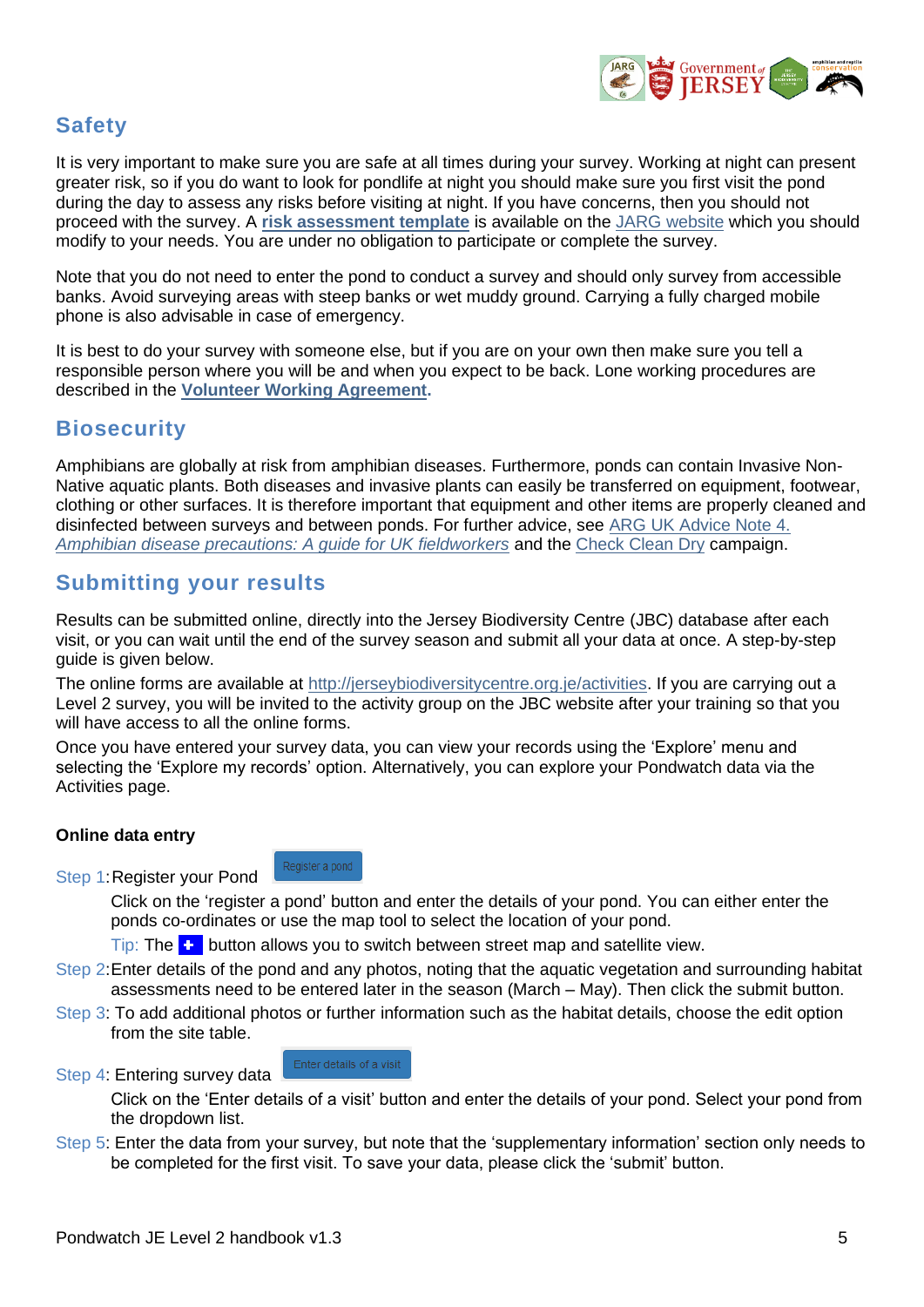

## <span id="page-4-0"></span>**Safety**

It is very important to make sure you are safe at all times during your survey. Working at night can present greater risk, so if you do want to look for pondlife at night you should make sure you first visit the pond during the day to assess any risks before visiting at night. If you have concerns, then you should not proceed with the survey. A **[risk assessment template](https://groups.arguk.org/images/users/70/downloads/ARG_UK_Generic_Risk_Assessment_Feb_2018.doc)** is available on the [JARG website](https://groups.arguk.org/jarg) which you should modify to your needs. You are under no obligation to participate or complete the survey.

Note that you do not need to enter the pond to conduct a survey and should only survey from accessible banks. Avoid surveying areas with steep banks or wet muddy ground. Carrying a fully charged mobile phone is also advisable in case of emergency.

It is best to do your survey with someone else, but if you are on your own then make sure you tell a responsible person where you will be and when you expect to be back. Lone working procedures are described in the **[Volunteer Working Agreement.](https://groups.arguk.org/images/users/70/downloads/Volunteer_Working_Agreement.pdf)**

## <span id="page-4-1"></span>**Biosecurity**

Amphibians are globally at risk from amphibian diseases. Furthermore, ponds can contain Invasive Non-Native aquatic plants. Both diseases and invasive plants can easily be transferred on equipment, footwear, clothing or other surfaces. It is therefore important that equipment and other items are properly cleaned and disinfected between surveys and between ponds. For further advice, see [ARG UK Advice Note 4.](https://www.arguk.org/info-advice/advice-notes/324-advice-note-4-amphibian-disease-precautions-a-guide-for-uk-fieldworkers-pdf-2/file)  *[Amphibian disease precautions: A guide for UK fieldworkers](https://www.arguk.org/info-advice/advice-notes/324-advice-note-4-amphibian-disease-precautions-a-guide-for-uk-fieldworkers-pdf-2/file)* and the [Check Clean Dry](http://www.nonnativespecies.org/checkcleandry/) campaign.

## <span id="page-4-2"></span>**Submitting your results**

Results can be submitted online, directly into the Jersey Biodiversity Centre (JBC) database after each visit, or you can wait until the end of the survey season and submit all your data at once. A step-by-step guide is given below.

The online forms are available at<http://jerseybiodiversitycentre.org.je/>activities. If you are carrying out a Level 2 survey, you will be invited to the activity group on the JBC website after your training so that you will have access to all the online forms.

Once you have entered your survey data, you can view your records using the 'Explore' menu and selecting the 'Explore my records' option. Alternatively, you can explore your Pondwatch data via the Activities page.

### **Online data entry**

Step 1:Register your Pond

Click on the 'register a pond' button and enter the details of your pond. You can either enter the ponds co-ordinates or use the map tool to select the location of your pond.

Tip: The  $\bullet$  button allows you to switch between street map and satellite view.

- Step 2:Enter details of the pond and any photos, noting that the aquatic vegetation and surrounding habitat assessments need to be entered later in the season (March – May). Then click the submit button.
- Step 3: To add additional photos or further information such as the habitat details, choose the edit option from the site table.
- Step 4: Entering survey data

Enter details of a visit

Register a pond

Click on the 'Enter details of a visit' button and enter the details of your pond. Select your pond from the dropdown list.

Step 5: Enter the data from your survey, but note that the 'supplementary information' section only needs to be completed for the first visit. To save your data, please click the 'submit' button.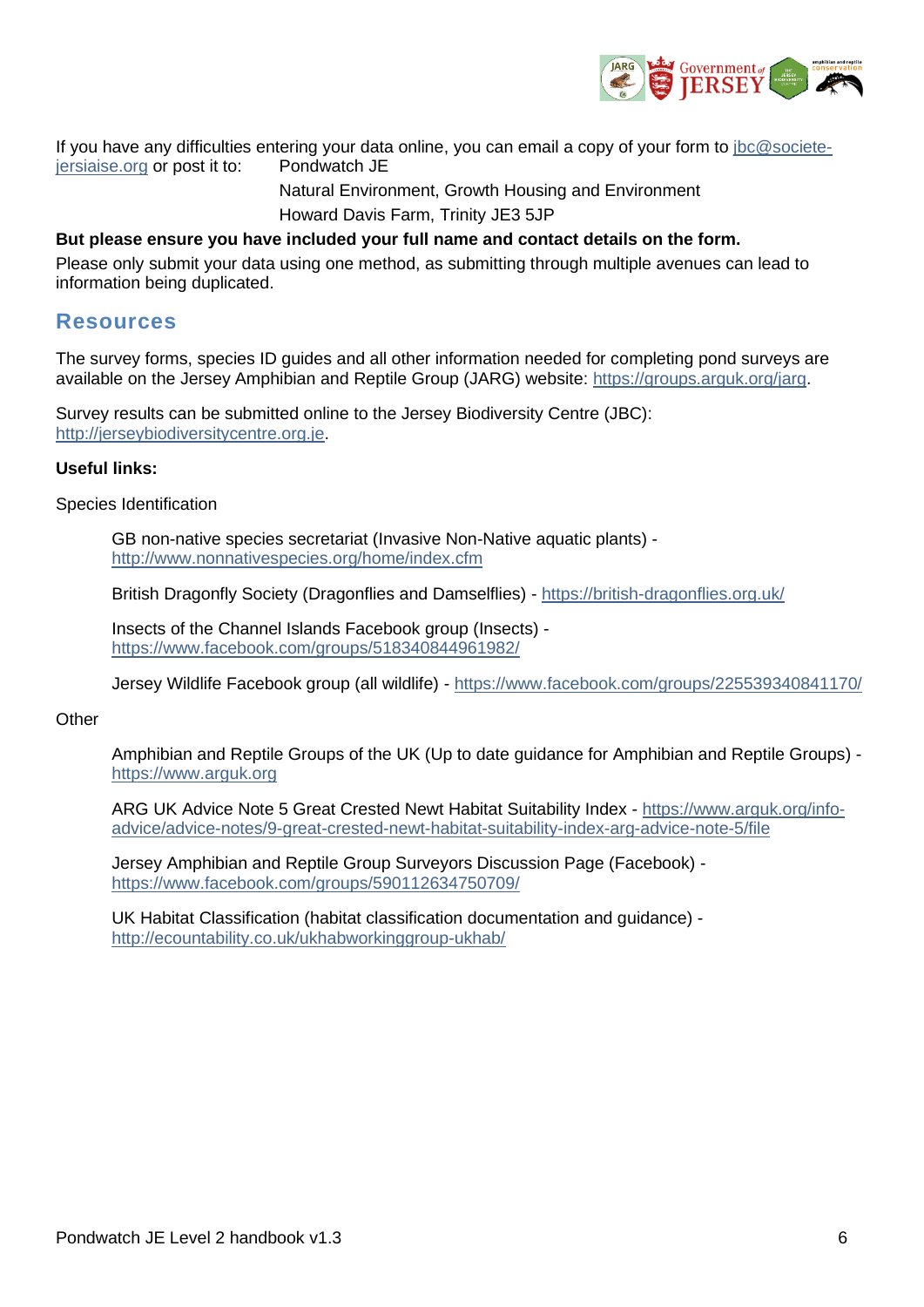

If you have any difficulties entering your data online, you can email a copy of your form to [jbc@societe](mailto:jbc@societe-jersiaise.org)[jersiaise.org](mailto:jbc@societe-jersiaise.org) or post it to: Pondwatch JE

> Natural Environment, Growth Housing and Environment Howard Davis Farm, Trinity JE3 5JP

#### **But please ensure you have included your full name and contact details on the form.**

Please only submit your data using one method, as submitting through multiple avenues can lead to information being duplicated.

### <span id="page-5-0"></span>**Resources**

The survey forms, species ID guides and all other information needed for completing pond surveys are available on the Jersey Amphibian and Reptile Group (JARG) website: [https://groups.arguk.org/jarg.](https://groups.arguk.org/jarg)

Survey results can be submitted online to the Jersey Biodiversity Centre (JBC): [http://jerseybiodiversitycentre.org.je.](http://jerseybiodiversitycentre.org.je/)

#### **Useful links:**

Species Identification

GB non-native species secretariat (Invasive Non-Native aquatic plants) <http://www.nonnativespecies.org/home/index.cfm>

British Dragonfly Society (Dragonflies and Damselflies) - <https://british-dragonflies.org.uk/>

Insects of the Channel Islands Facebook group (Insects) <https://www.facebook.com/groups/518340844961982/>

Jersey Wildlife Facebook group (all wildlife) - <https://www.facebook.com/groups/225539340841170/>

#### **Other**

Amphibian and Reptile Groups of the UK (Up to date guidance for Amphibian and Reptile Groups) [https://www.arguk.org](https://www.arguk.org/)

ARG UK Advice Note 5 Great Crested Newt Habitat Suitability Index - [https://www.arguk.org/info](https://www.arguk.org/info-advice/advice-notes/9-great-crested-newt-habitat-suitability-index-arg-advice-note-5/file)[advice/advice-notes/9-great-crested-newt-habitat-suitability-index-arg-advice-note-5/file](https://www.arguk.org/info-advice/advice-notes/9-great-crested-newt-habitat-suitability-index-arg-advice-note-5/file)

Jersey Amphibian and Reptile Group Surveyors Discussion Page (Facebook) <https://www.facebook.com/groups/590112634750709/>

UK Habitat Classification (habitat classification documentation and guidance) <http://ecountability.co.uk/ukhabworkinggroup-ukhab/>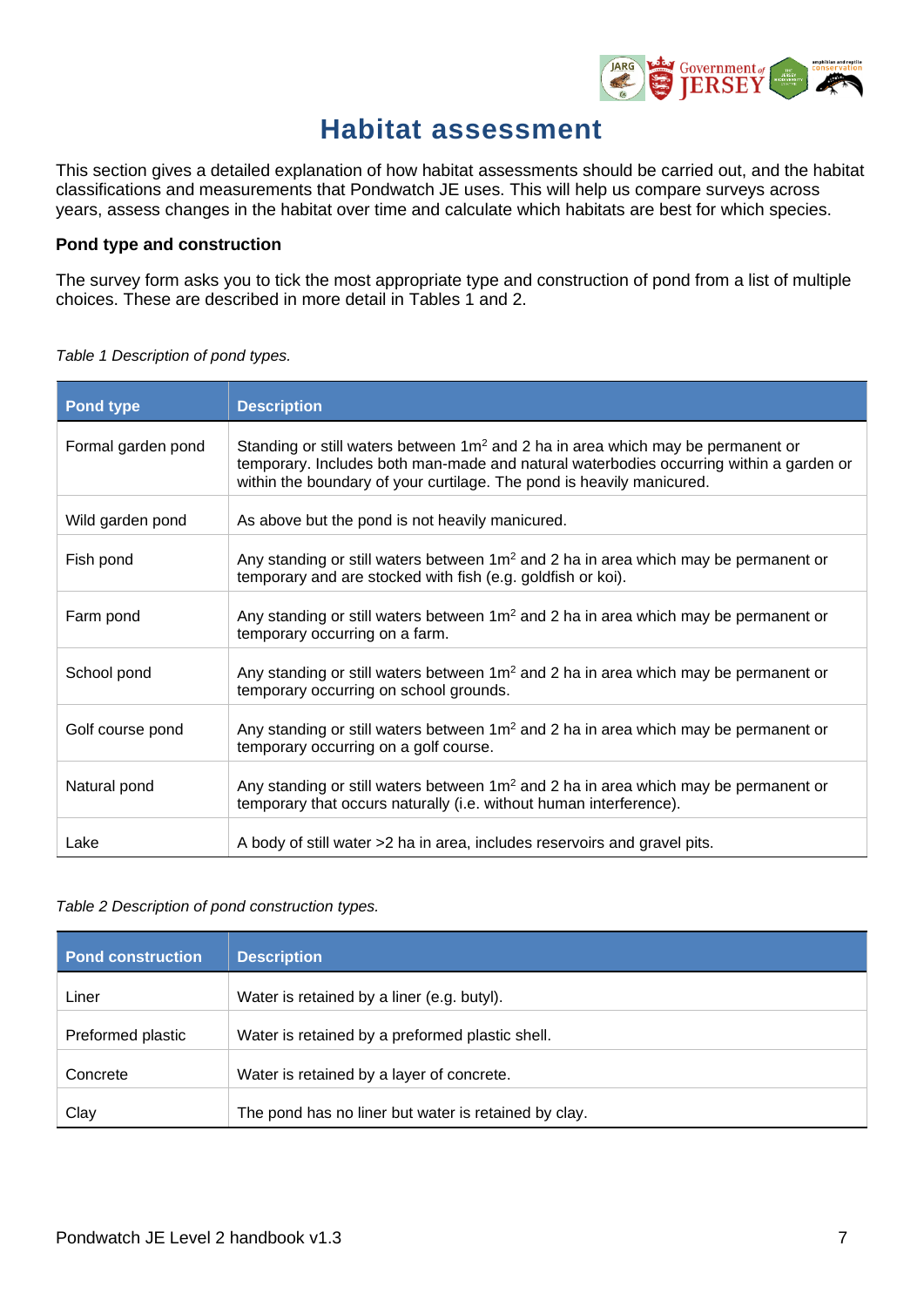

# **Habitat assessment**

<span id="page-6-1"></span><span id="page-6-0"></span>This section gives a detailed explanation of how habitat assessments should be carried out, and the habitat classifications and measurements that Pondwatch JE uses. This will help us compare surveys across years, assess changes in the habitat over time and calculate which habitats are best for which species.

#### **Pond type and construction**

The survey form asks you to tick the most appropriate type and construction of pond from a list of multiple choices. These are described in more detail in Tables 1 and 2.

| Pond type          | <b>Description</b>                                                                                                                                                                                                                                    |
|--------------------|-------------------------------------------------------------------------------------------------------------------------------------------------------------------------------------------------------------------------------------------------------|
| Formal garden pond | Standing or still waters between $1m^2$ and 2 ha in area which may be permanent or<br>temporary. Includes both man-made and natural waterbodies occurring within a garden or<br>within the boundary of your curtilage. The pond is heavily manicured. |
| Wild garden pond   | As above but the pond is not heavily manicured.                                                                                                                                                                                                       |
| Fish pond          | Any standing or still waters between $1m^2$ and 2 ha in area which may be permanent or<br>temporary and are stocked with fish (e.g. goldfish or koi).                                                                                                 |
| Farm pond          | Any standing or still waters between 1m <sup>2</sup> and 2 ha in area which may be permanent or<br>temporary occurring on a farm.                                                                                                                     |
| School pond        | Any standing or still waters between 1m <sup>2</sup> and 2 ha in area which may be permanent or<br>temporary occurring on school grounds.                                                                                                             |
| Golf course pond   | Any standing or still waters between 1m <sup>2</sup> and 2 ha in area which may be permanent or<br>temporary occurring on a golf course.                                                                                                              |
| Natural pond       | Any standing or still waters between 1m <sup>2</sup> and 2 ha in area which may be permanent or<br>temporary that occurs naturally (i.e. without human interference).                                                                                 |
| Lake               | A body of still water >2 ha in area, includes reservoirs and gravel pits.                                                                                                                                                                             |

*Table 1 Description of pond types.*

#### *Table 2 Description of pond construction types.*

| <b>Pond construction</b> | <b>Description</b>                                   |
|--------------------------|------------------------------------------------------|
| Liner                    | Water is retained by a liner (e.g. butyl).           |
| Preformed plastic        | Water is retained by a preformed plastic shell.      |
| Concrete                 | Water is retained by a layer of concrete.            |
| Clay                     | The pond has no liner but water is retained by clay. |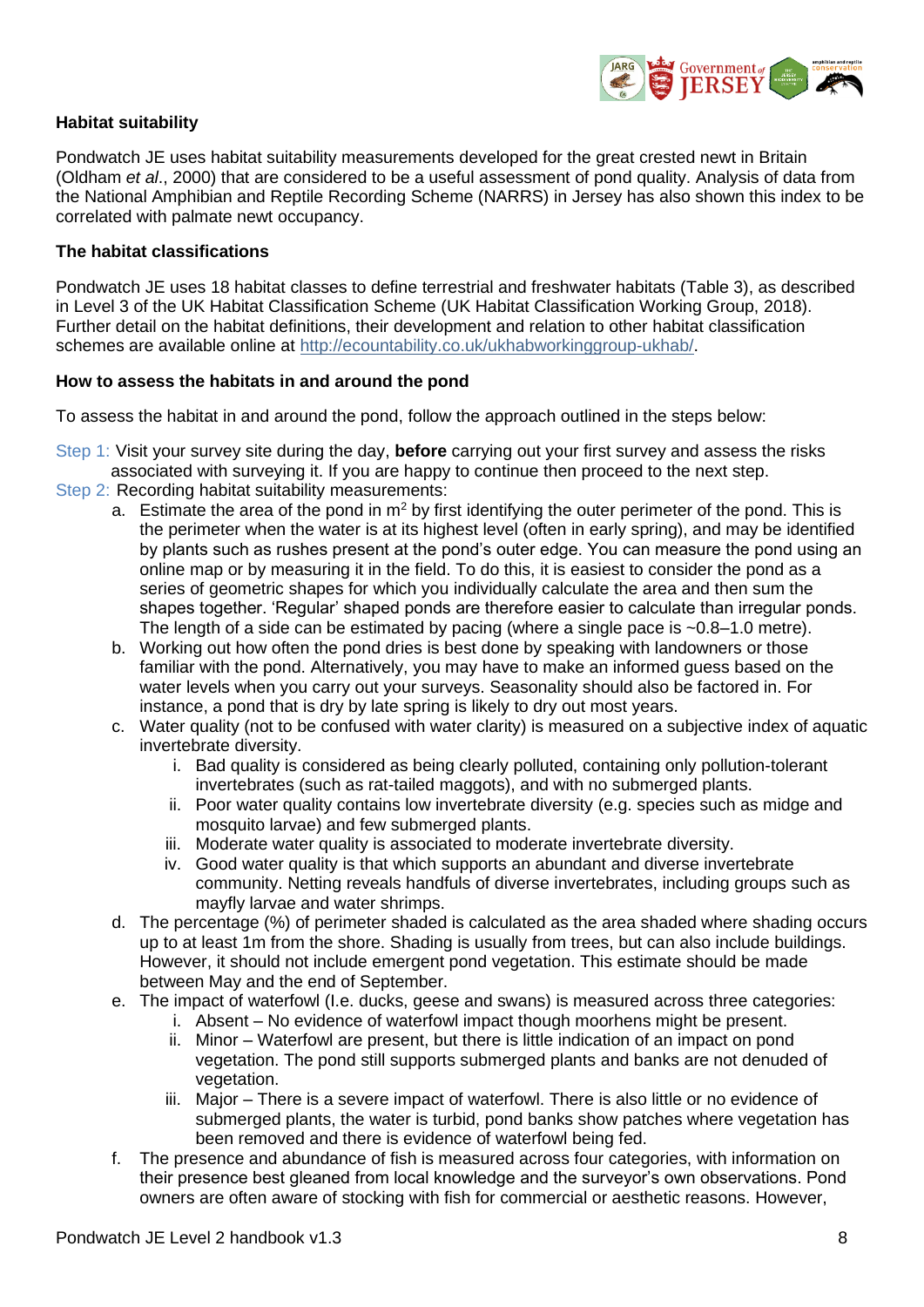

#### <span id="page-7-0"></span>**Habitat suitability**

Pondwatch JE uses habitat suitability measurements developed for the great crested newt in Britain (Oldham *et al*., 2000) that are considered to be a useful assessment of pond quality. Analysis of data from the National Amphibian and Reptile Recording Scheme (NARRS) in Jersey has also shown this index to be correlated with palmate newt occupancy.

#### <span id="page-7-1"></span>**The habitat classifications**

Pondwatch JE uses 18 habitat classes to define terrestrial and freshwater habitats (Table 3), as described in Level 3 of the UK Habitat Classification Scheme (UK Habitat Classification Working Group, 2018). Further detail on the habitat definitions, their development and relation to other habitat classification schemes are available online at [http://ecountability.co.uk/ukhabworkinggroup-ukhab/.](http://ecountability.co.uk/ukhabworkinggroup-ukhab/)

#### **How to assess the habitats in and around the pond**

To assess the habitat in and around the pond, follow the approach outlined in the steps below:

- Step 1: Visit your survey site during the day, **before** carrying out your first survey and assess the risks associated with surveying it. If you are happy to continue then proceed to the next step.
- Step 2: Recording habitat suitability measurements:
	- a. Estimate the area of the pond in  $m<sup>2</sup>$  by first identifying the outer perimeter of the pond. This is the perimeter when the water is at its highest level (often in early spring), and may be identified by plants such as rushes present at the pond's outer edge. You can measure the pond using an online map or by measuring it in the field. To do this, it is easiest to consider the pond as a series of geometric shapes for which you individually calculate the area and then sum the shapes together. 'Regular' shaped ponds are therefore easier to calculate than irregular ponds. The length of a side can be estimated by pacing (where a single pace is  $\sim 0.8-1.0$  metre).
	- b. Working out how often the pond dries is best done by speaking with landowners or those familiar with the pond. Alternatively, you may have to make an informed guess based on the water levels when you carry out your surveys. Seasonality should also be factored in. For instance, a pond that is dry by late spring is likely to dry out most years.
	- c. Water quality (not to be confused with water clarity) is measured on a subjective index of aquatic invertebrate diversity.
		- i. Bad quality is considered as being clearly polluted, containing only pollution-tolerant invertebrates (such as rat-tailed maggots), and with no submerged plants.
		- ii. Poor water quality contains low invertebrate diversity (e.g. species such as midge and mosquito larvae) and few submerged plants.
		- iii. Moderate water quality is associated to moderate invertebrate diversity.
		- iv. Good water quality is that which supports an abundant and diverse invertebrate community. Netting reveals handfuls of diverse invertebrates, including groups such as mayfly larvae and water shrimps.
	- d. The percentage (%) of perimeter shaded is calculated as the area shaded where shading occurs up to at least 1m from the shore. Shading is usually from trees, but can also include buildings. However, it should not include emergent pond vegetation. This estimate should be made between May and the end of September.
	- e. The impact of waterfowl (I.e. ducks, geese and swans) is measured across three categories:
		- i. Absent No evidence of waterfowl impact though moorhens might be present.
		- ii. Minor Waterfowl are present, but there is little indication of an impact on pond vegetation. The pond still supports submerged plants and banks are not denuded of vegetation.
		- iii. Major There is a severe impact of waterfowl. There is also little or no evidence of submerged plants, the water is turbid, pond banks show patches where vegetation has been removed and there is evidence of waterfowl being fed.
	- f. The presence and abundance of fish is measured across four categories, with information on their presence best gleaned from local knowledge and the surveyor's own observations. Pond owners are often aware of stocking with fish for commercial or aesthetic reasons. However,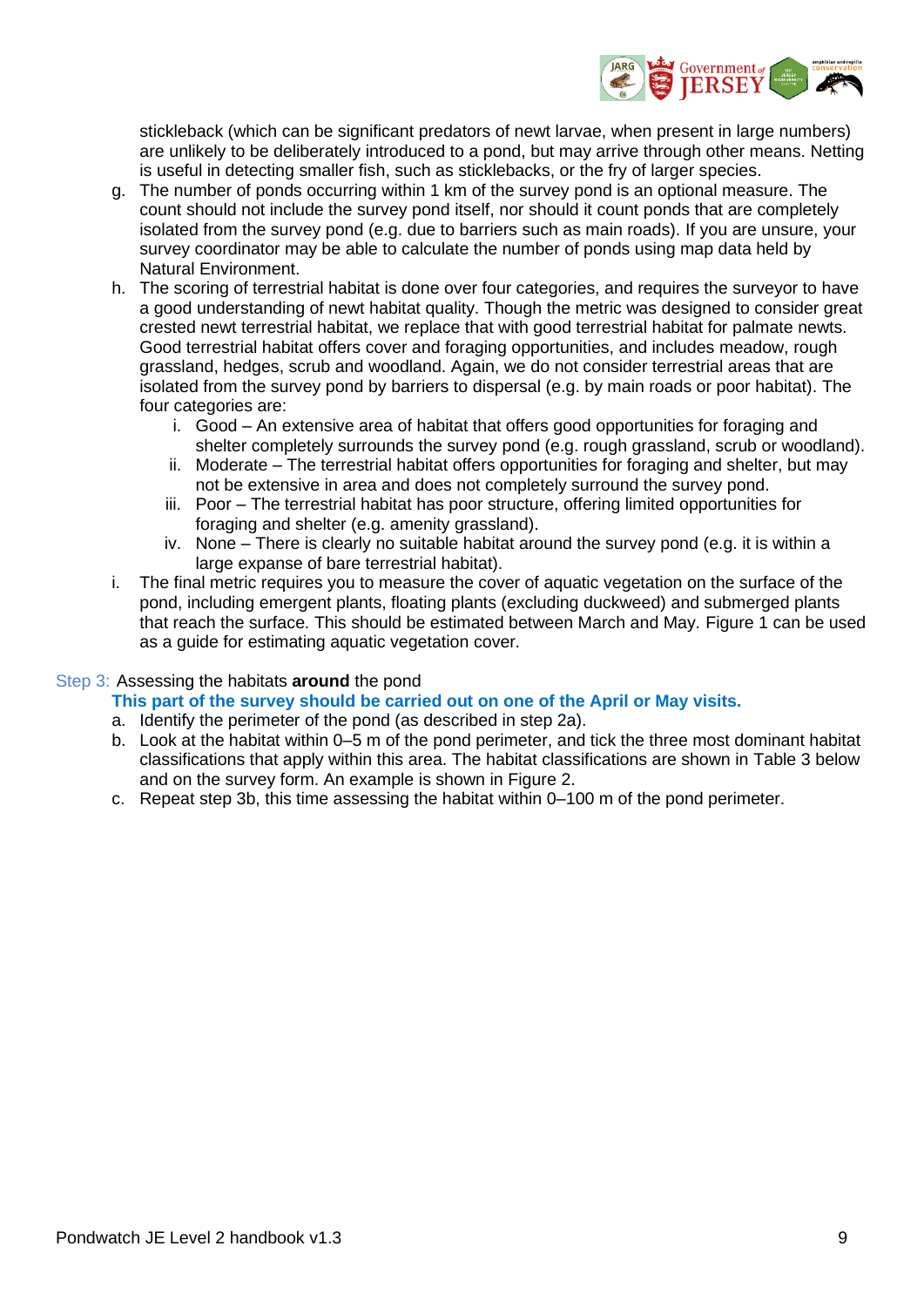

stickleback (which can be significant predators of newt larvae, when present in large numbers) are unlikely to be deliberately introduced to a pond, but may arrive through other means. Netting is useful in detecting smaller fish, such as sticklebacks, or the fry of larger species.

- g. The number of ponds occurring within 1 km of the survey pond is an optional measure. The count should not include the survey pond itself, nor should it count ponds that are completely isolated from the survey pond (e.g. due to barriers such as main roads). If you are unsure, your survey coordinator may be able to calculate the number of ponds using map data held by Natural Environment.
- h. The scoring of terrestrial habitat is done over four categories, and requires the surveyor to have a good understanding of newt habitat quality. Though the metric was designed to consider great crested newt terrestrial habitat, we replace that with good terrestrial habitat for palmate newts. Good terrestrial habitat offers cover and foraging opportunities, and includes meadow, rough grassland, hedges, scrub and woodland. Again, we do not consider terrestrial areas that are isolated from the survey pond by barriers to dispersal (e.g. by main roads or poor habitat). The four categories are:
	- i. Good An extensive area of habitat that offers good opportunities for foraging and shelter completely surrounds the survey pond (e.g. rough grassland, scrub or woodland).
	- ii. Moderate The terrestrial habitat offers opportunities for foraging and shelter, but may not be extensive in area and does not completely surround the survey pond.
	- iii. Poor The terrestrial habitat has poor structure, offering limited opportunities for foraging and shelter (e.g. amenity grassland).
	- iv. None There is clearly no suitable habitat around the survey pond (e.g. it is within a large expanse of bare terrestrial habitat).
- i. The final metric requires you to measure the cover of aquatic vegetation on the surface of the pond, including emergent plants, floating plants (excluding duckweed) and submerged plants that reach the surface. This should be estimated between March and May. [Figure 1](#page-9-0) can be used as a guide for estimating aquatic vegetation cover.

#### Step 3: Assessing the habitats **around** the pond

#### **This part of the survey should be carried out on one of the April or May visits.**

- a. Identify the perimeter of the pond (as described in step 2a).
- b. Look at the habitat within 0–5 m of the pond perimeter, and tick the three most dominant habitat classifications that apply within this area. The habitat classifications are shown in Table 3 below and on the survey form. An example is shown in [Figure 2.](#page-9-1)
- c. Repeat step 3b, this time assessing the habitat within 0–100 m of the pond perimeter.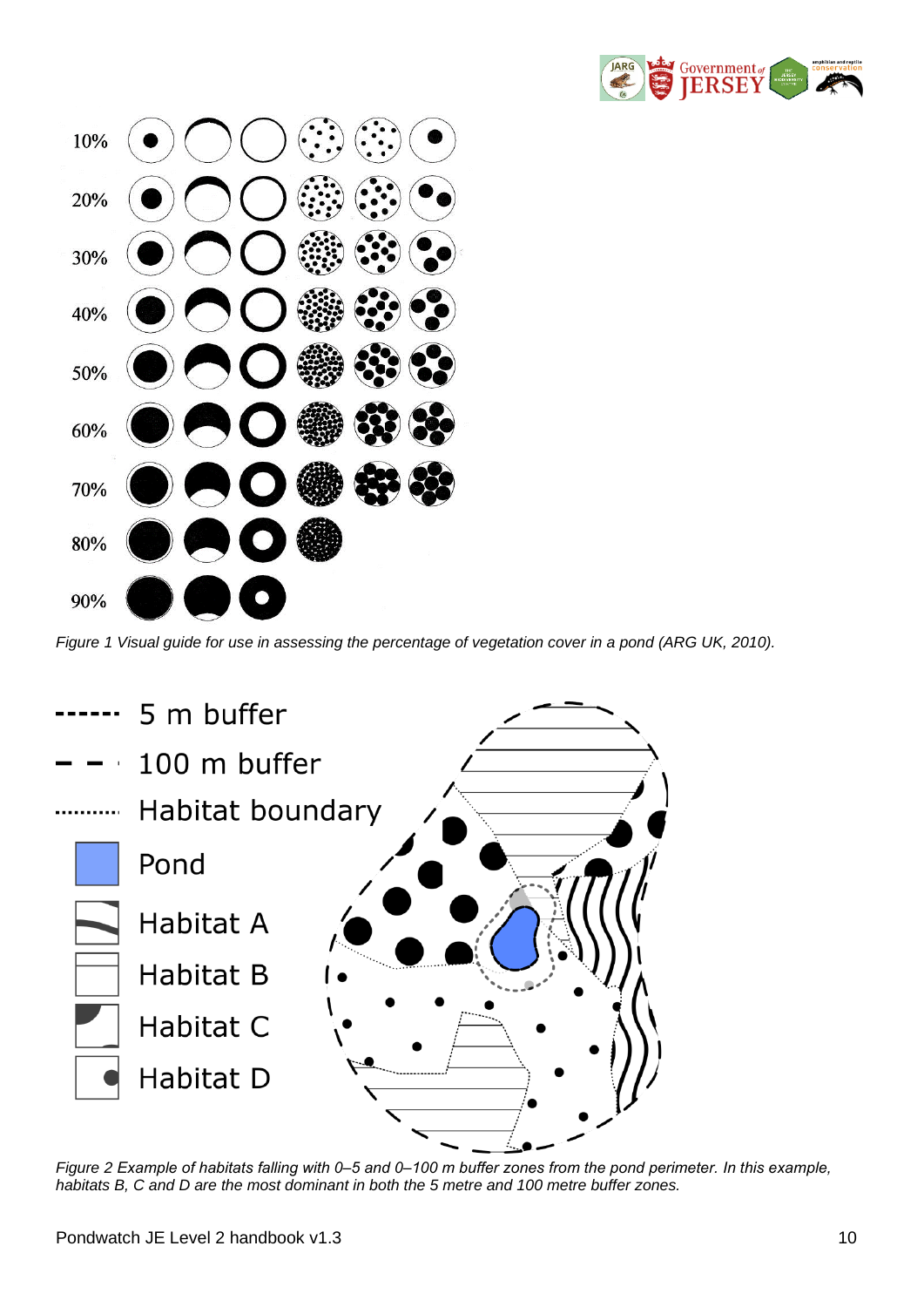

| $10\%$ ( $\bigcirc$ $\bigcirc$ $\bigcirc$ $\bigcirc$ $\bigcirc$ $\bigcirc$ $\bigcirc$ $\bigcirc$ |
|--------------------------------------------------------------------------------------------------|
| $20\%$ ( $\bigcirc$ $\bigcirc$ $\bigcirc$ $\bigcirc$ $\bigcirc$ $\bigcirc$                       |
| 30% ● ● ● ● ● ●                                                                                  |
|                                                                                                  |
| 50% ●●●●● 第88                                                                                    |
| ◎◎●●●●●●                                                                                         |
| 70% ●●●●● 卷                                                                                      |
| 80% OOO®                                                                                         |
| 90% <b>OC</b>                                                                                    |

<span id="page-9-0"></span>*Figure 1 Visual guide for use in assessing the percentage of vegetation cover in a pond (ARG UK, 2010).*



<span id="page-9-1"></span>*Figure 2 Example of habitats falling with 0‒5 and 0‒100 m buffer zones from the pond perimeter. In this example, habitats B, C and D are the most dominant in both the 5 metre and 100 metre buffer zones.*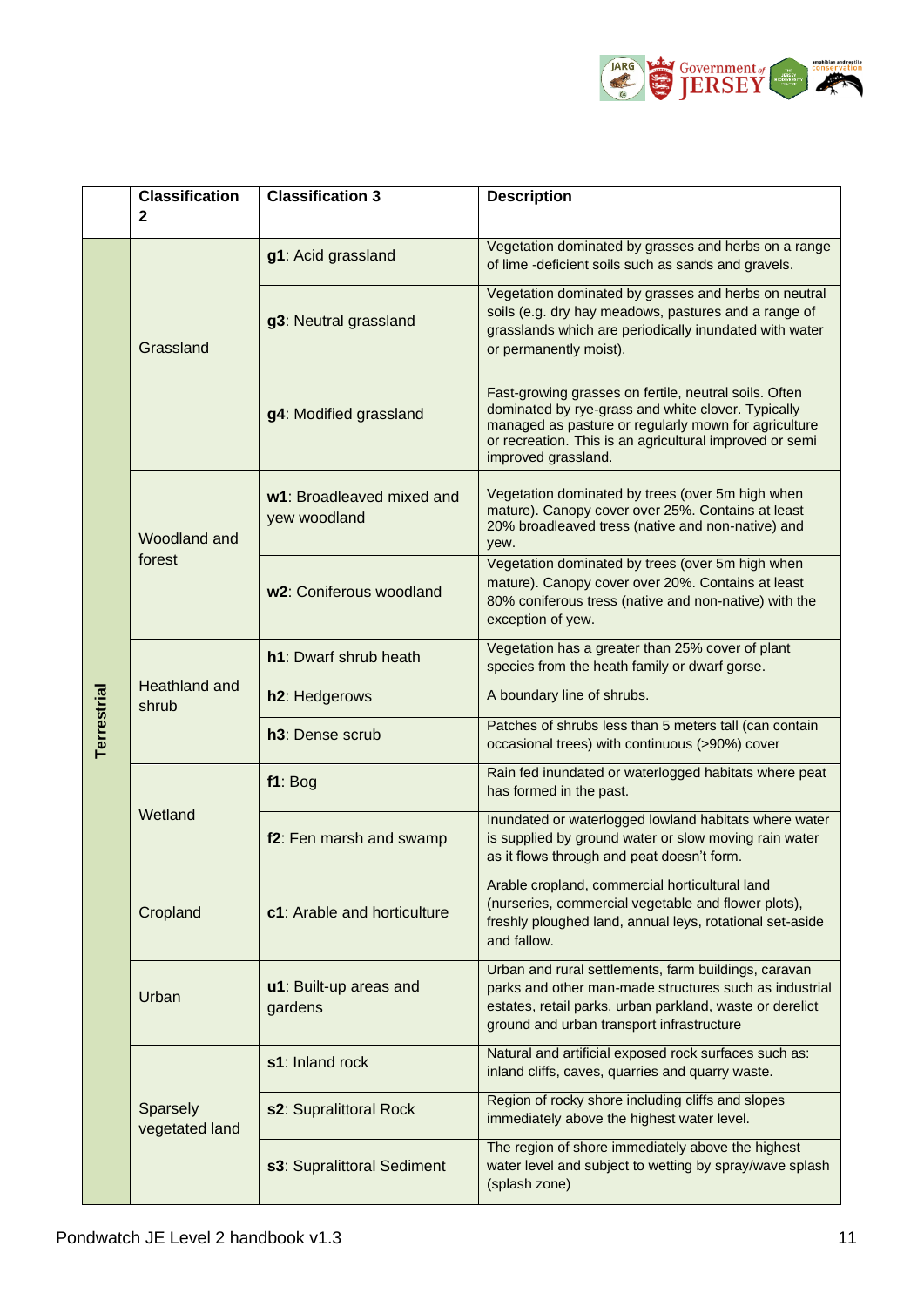

|                    | <b>Classification</b><br>$\mathbf{2}$ | <b>Classification 3</b>                   | <b>Description</b>                                                                                                                                                                                                                                    |  |
|--------------------|---------------------------------------|-------------------------------------------|-------------------------------------------------------------------------------------------------------------------------------------------------------------------------------------------------------------------------------------------------------|--|
|                    |                                       |                                           |                                                                                                                                                                                                                                                       |  |
| <b>Terrestrial</b> | Grassland                             | g1: Acid grassland                        | Vegetation dominated by grasses and herbs on a range<br>of lime -deficient soils such as sands and gravels.                                                                                                                                           |  |
|                    |                                       | g3: Neutral grassland                     | Vegetation dominated by grasses and herbs on neutral<br>soils (e.g. dry hay meadows, pastures and a range of<br>grasslands which are periodically inundated with water<br>or permanently moist).                                                      |  |
|                    |                                       | g4: Modified grassland                    | Fast-growing grasses on fertile, neutral soils. Often<br>dominated by rye-grass and white clover. Typically<br>managed as pasture or regularly mown for agriculture<br>or recreation. This is an agricultural improved or semi<br>improved grassland. |  |
|                    | Woodland and<br>forest                | w1: Broadleaved mixed and<br>yew woodland | Vegetation dominated by trees (over 5m high when<br>mature). Canopy cover over 25%. Contains at least<br>20% broadleaved tress (native and non-native) and<br>yew.                                                                                    |  |
|                    |                                       | w2: Coniferous woodland                   | Vegetation dominated by trees (over 5m high when<br>mature). Canopy cover over 20%. Contains at least<br>80% coniferous tress (native and non-native) with the<br>exception of yew.                                                                   |  |
|                    | <b>Heathland and</b><br>shrub         | h1: Dwarf shrub heath                     | Vegetation has a greater than 25% cover of plant<br>species from the heath family or dwarf gorse.                                                                                                                                                     |  |
|                    |                                       | h2: Hedgerows                             | A boundary line of shrubs.                                                                                                                                                                                                                            |  |
|                    |                                       | h <sub>3</sub> : Dense scrub              | Patches of shrubs less than 5 meters tall (can contain<br>occasional trees) with continuous (>90%) cover                                                                                                                                              |  |
|                    | Wetland                               | f1: Bog                                   | Rain fed inundated or waterlogged habitats where peat<br>has formed in the past.                                                                                                                                                                      |  |
|                    |                                       | f2: Fen marsh and swamp                   | Inundated or waterlogged lowland habitats where water<br>is supplied by ground water or slow moving rain water<br>as it flows through and peat doesn't form.                                                                                          |  |
|                    | Cropland                              | c1: Arable and horticulture               | Arable cropland, commercial horticultural land<br>(nurseries, commercial vegetable and flower plots),<br>freshly ploughed land, annual leys, rotational set-aside<br>and fallow.                                                                      |  |
|                    | Urban                                 | u1: Built-up areas and<br>gardens         | Urban and rural settlements, farm buildings, caravan<br>parks and other man-made structures such as industrial<br>estates, retail parks, urban parkland, waste or derelict<br>ground and urban transport infrastructure                               |  |
|                    | Sparsely<br>vegetated land            | s1: Inland rock                           | Natural and artificial exposed rock surfaces such as:<br>inland cliffs, caves, quarries and quarry waste.                                                                                                                                             |  |
|                    |                                       | s2: Supralittoral Rock                    | Region of rocky shore including cliffs and slopes<br>immediately above the highest water level.                                                                                                                                                       |  |
|                    |                                       | s3: Supralittoral Sediment                | The region of shore immediately above the highest<br>water level and subject to wetting by spray/wave splash<br>(splash zone)                                                                                                                         |  |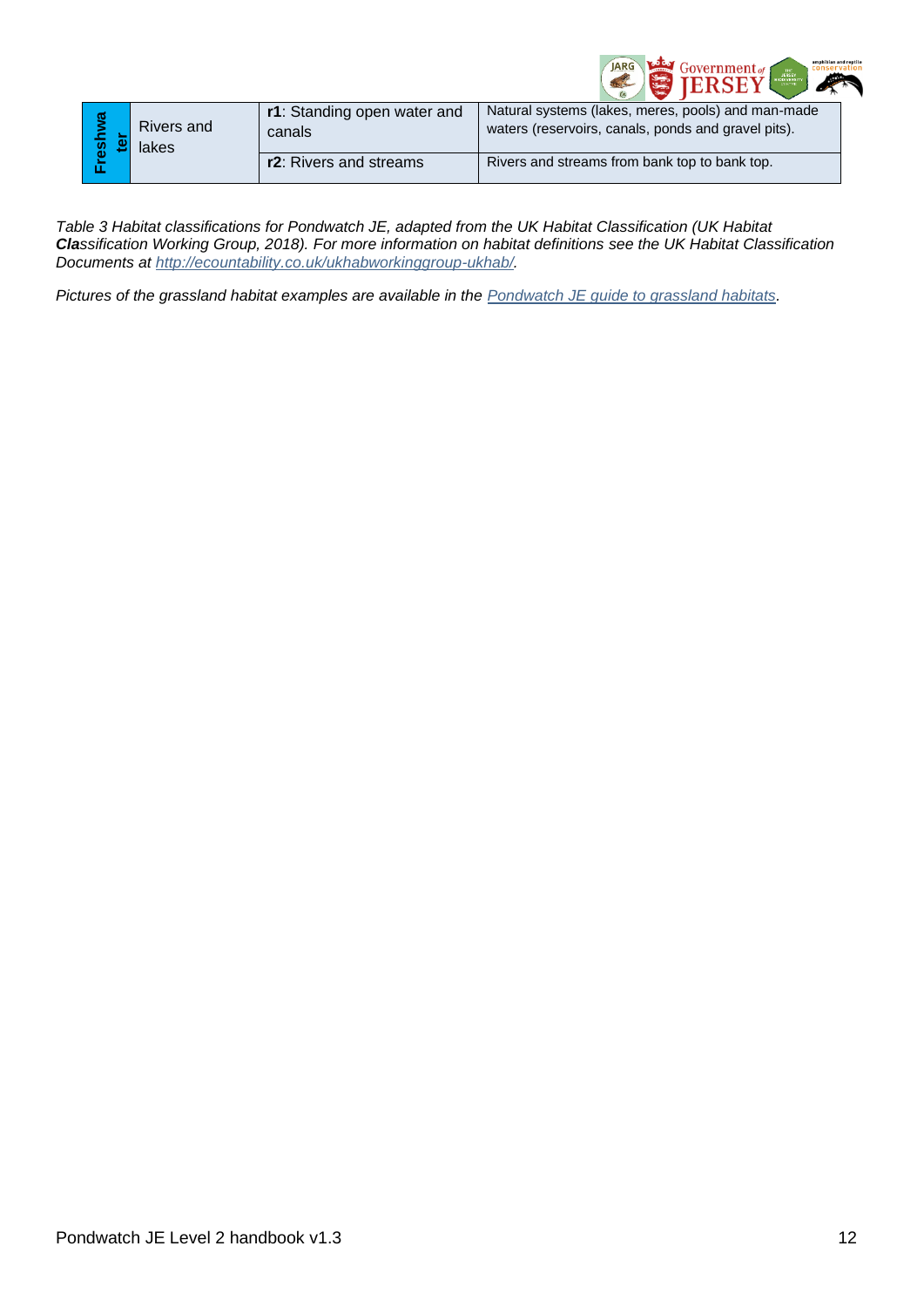

|                                                                                                                    |               |                     | r1: Standing open water and | Natural systems (lakes, meres, pools) and man-made  |  |
|--------------------------------------------------------------------------------------------------------------------|---------------|---------------------|-----------------------------|-----------------------------------------------------|--|
|                                                                                                                    | Freshwa<br>මූ | Rivers and<br>lakes | canals                      | waters (reservoirs, canals, ponds and gravel pits). |  |
|                                                                                                                    |               |                     | r2: Rivers and streams      | Rivers and streams from bank top to bank top.       |  |
|                                                                                                                    |               |                     |                             |                                                     |  |
| Table 3 Habitat classifications for Pondwatch JE, adapted from the UK Habitat Classification (UK Habitat           |               |                     |                             |                                                     |  |
| Classification Working Group, 2018). For more information on habitat definitions see the UK Habitat Classification |               |                     |                             |                                                     |  |
| Documents at http://ecountability.co.uk/ukhabworkinggroup-ukhab/.                                                  |               |                     |                             |                                                     |  |
|                                                                                                                    |               |                     |                             |                                                     |  |
| Pictures of the grassland habitat examples are available in the Pondwatch JE guide to grassland habitats.          |               |                     |                             |                                                     |  |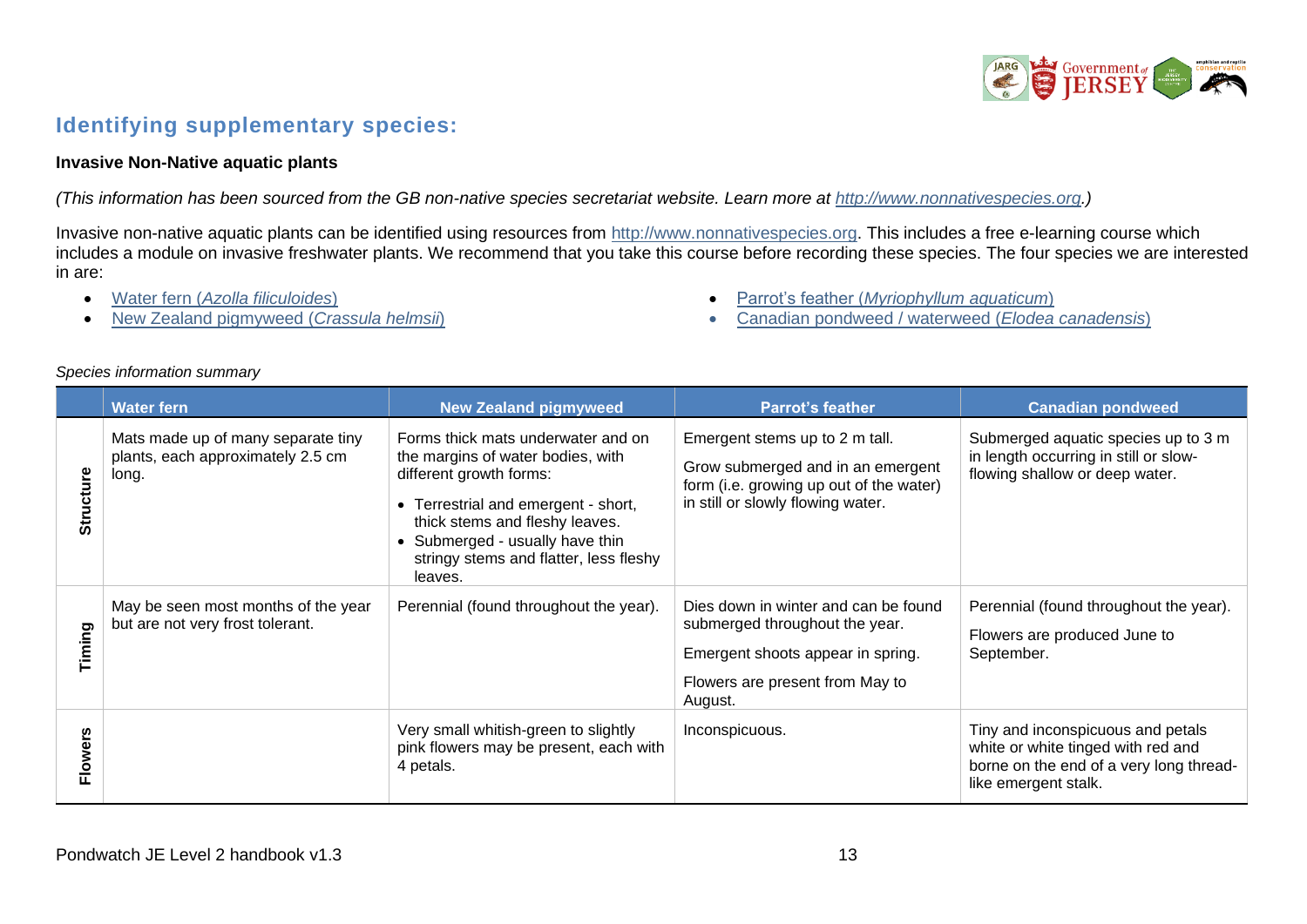

## **Identifying supplementary species:**

#### **Invasive Non-Native aquatic plants**

*(This information has been sourced from the GB non-native species secretariat website. Learn more at [http://www.nonnativespecies.org.](http://www.nonnativespecies.org/))*

Invasive non-native aquatic plants can be identified using resources from [http://www.nonnativespecies.org.](http://www.nonnativespecies.org/) This includes a free e-learning course which includes a module on invasive freshwater plants. We recommend that you take this course before recording these species. The four species we are interested in are:

- Water fern (*[Azolla filiculoides](https://secure.fera.defra.gov.uk/nonnativespecies/downloadDocument.cfm?id=350)*)
- [New Zealand pigmyweed \(](https://secure.fera.defra.gov.uk/nonnativespecies/downloadDocument.cfm?id=360)*Crassula helmsii*)
- Parrot's feather (*[Myriophyllum aquaticum](http://www.nonnativespecies.org/downloadDocument.cfm?id=66)*)
- [Canadian pondweed / waterweed \(](https://secure.fera.defra.gov.uk/nonnativespecies/downloadDocument.cfm?id=366)*Elodea canadensis*)

#### *Species information summary*

<span id="page-12-0"></span>

|           | <b>Water fern</b>                                                                | <b>New Zealand pigmyweed</b>                                                                                                                                                                                                                                        | <b>Parrot's feather</b>                                                                                                                                   | <b>Canadian pondweed</b>                                                                                                                   |
|-----------|----------------------------------------------------------------------------------|---------------------------------------------------------------------------------------------------------------------------------------------------------------------------------------------------------------------------------------------------------------------|-----------------------------------------------------------------------------------------------------------------------------------------------------------|--------------------------------------------------------------------------------------------------------------------------------------------|
| Structure | Mats made up of many separate tiny<br>plants, each approximately 2.5 cm<br>long. | Forms thick mats underwater and on<br>the margins of water bodies, with<br>different growth forms:<br>• Terrestrial and emergent - short,<br>thick stems and fleshy leaves.<br>• Submerged - usually have thin<br>stringy stems and flatter, less fleshy<br>leaves. | Emergent stems up to 2 m tall.<br>Grow submerged and in an emergent<br>form (i.e. growing up out of the water)<br>in still or slowly flowing water.       | Submerged aquatic species up to 3 m<br>in length occurring in still or slow-<br>flowing shallow or deep water.                             |
| Timing    | May be seen most months of the year<br>but are not very frost tolerant.          | Perennial (found throughout the year).                                                                                                                                                                                                                              | Dies down in winter and can be found<br>submerged throughout the year.<br>Emergent shoots appear in spring.<br>Flowers are present from May to<br>August. | Perennial (found throughout the year).<br>Flowers are produced June to<br>September.                                                       |
| Flowers   |                                                                                  | Very small whitish-green to slightly<br>pink flowers may be present, each with<br>4 petals.                                                                                                                                                                         | Inconspicuous.                                                                                                                                            | Tiny and inconspicuous and petals<br>white or white tinged with red and<br>borne on the end of a very long thread-<br>like emergent stalk. |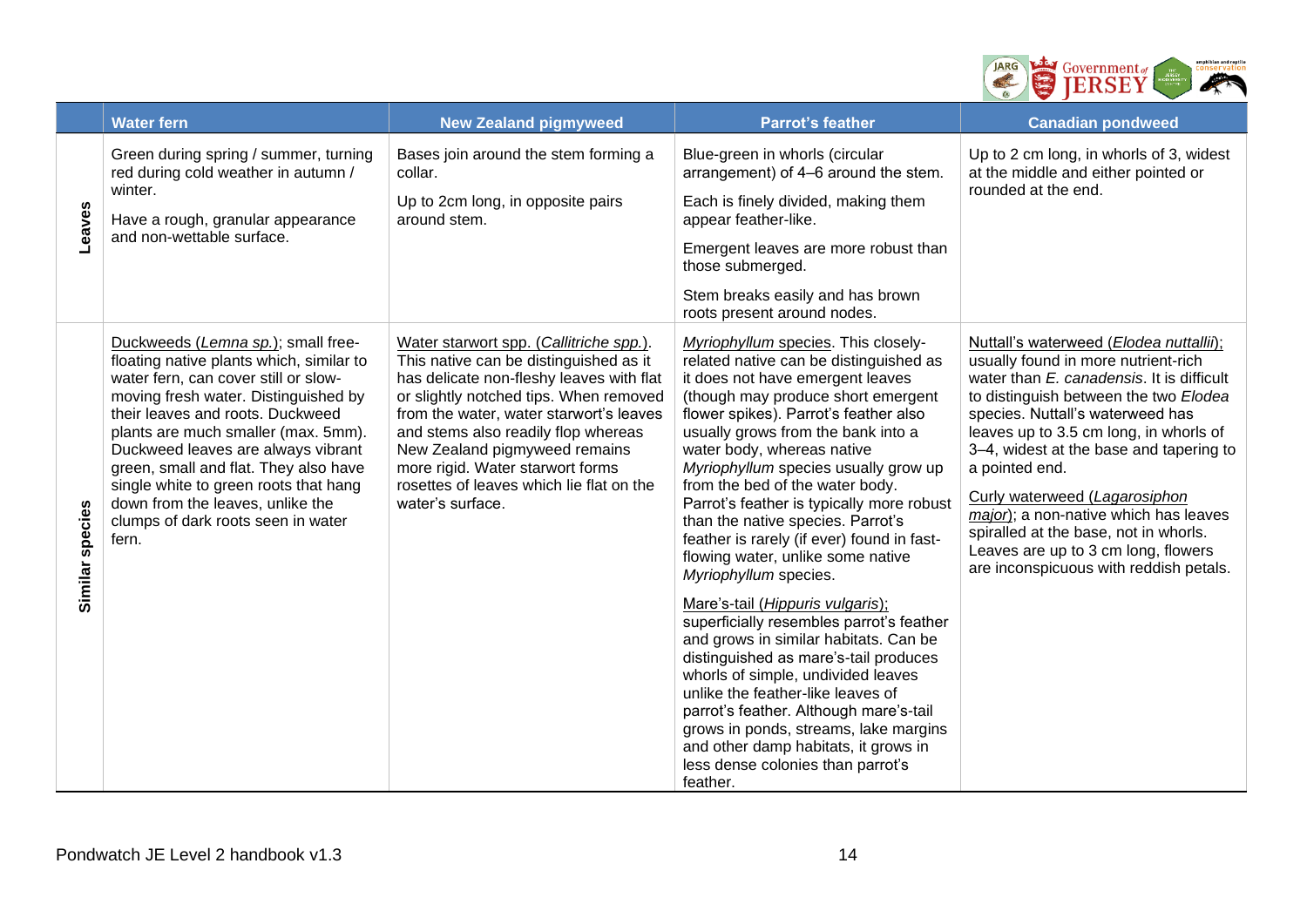

|                 | <b>Water fern</b>                                                                                                                                                                                                                                                                                                                                                                                                                                    | <b>New Zealand pigmyweed</b>                                                                                                                                                                                                                                                                                                                                                                   | <b>Parrot's feather</b>                                                                                                                                                                                                                                                                                                                                                                                                                                                                                                                                                                                                                                                                                                                                                                                                                                                                                                                                                | <b>Canadian pondweed</b>                                                                                                                                                                                                                                                                                                                                                                                                                                                                                            |
|-----------------|------------------------------------------------------------------------------------------------------------------------------------------------------------------------------------------------------------------------------------------------------------------------------------------------------------------------------------------------------------------------------------------------------------------------------------------------------|------------------------------------------------------------------------------------------------------------------------------------------------------------------------------------------------------------------------------------------------------------------------------------------------------------------------------------------------------------------------------------------------|------------------------------------------------------------------------------------------------------------------------------------------------------------------------------------------------------------------------------------------------------------------------------------------------------------------------------------------------------------------------------------------------------------------------------------------------------------------------------------------------------------------------------------------------------------------------------------------------------------------------------------------------------------------------------------------------------------------------------------------------------------------------------------------------------------------------------------------------------------------------------------------------------------------------------------------------------------------------|---------------------------------------------------------------------------------------------------------------------------------------------------------------------------------------------------------------------------------------------------------------------------------------------------------------------------------------------------------------------------------------------------------------------------------------------------------------------------------------------------------------------|
| Leaves          | Green during spring / summer, turning<br>red during cold weather in autumn /<br>winter.<br>Have a rough, granular appearance<br>and non-wettable surface.                                                                                                                                                                                                                                                                                            | Bases join around the stem forming a<br>collar.<br>Up to 2cm long, in opposite pairs<br>around stem.                                                                                                                                                                                                                                                                                           | Blue-green in whorls (circular<br>arrangement) of 4-6 around the stem.<br>Each is finely divided, making them<br>appear feather-like.<br>Emergent leaves are more robust than<br>those submerged.<br>Stem breaks easily and has brown<br>roots present around nodes.                                                                                                                                                                                                                                                                                                                                                                                                                                                                                                                                                                                                                                                                                                   | Up to 2 cm long, in whorls of 3, widest<br>at the middle and either pointed or<br>rounded at the end.                                                                                                                                                                                                                                                                                                                                                                                                               |
| Similar species | Duckweeds (Lemna sp.); small free-<br>floating native plants which, similar to<br>water fern, can cover still or slow-<br>moving fresh water. Distinguished by<br>their leaves and roots. Duckweed<br>plants are much smaller (max. 5mm).<br>Duckweed leaves are always vibrant<br>green, small and flat. They also have<br>single white to green roots that hang<br>down from the leaves, unlike the<br>clumps of dark roots seen in water<br>fern. | Water starwort spp. (Callitriche spp.).<br>This native can be distinguished as it<br>has delicate non-fleshy leaves with flat<br>or slightly notched tips. When removed<br>from the water, water starwort's leaves<br>and stems also readily flop whereas<br>New Zealand pigmyweed remains<br>more rigid. Water starwort forms<br>rosettes of leaves which lie flat on the<br>water's surface. | Myriophyllum species. This closely-<br>related native can be distinguished as<br>it does not have emergent leaves<br>(though may produce short emergent<br>flower spikes). Parrot's feather also<br>usually grows from the bank into a<br>water body, whereas native<br>Myriophyllum species usually grow up<br>from the bed of the water body.<br>Parrot's feather is typically more robust<br>than the native species. Parrot's<br>feather is rarely (if ever) found in fast-<br>flowing water, unlike some native<br>Myriophyllum species.<br>Mare's-tail (Hippuris vulgaris);<br>superficially resembles parrot's feather<br>and grows in similar habitats. Can be<br>distinguished as mare's-tail produces<br>whorls of simple, undivided leaves<br>unlike the feather-like leaves of<br>parrot's feather. Although mare's-tail<br>grows in ponds, streams, lake margins<br>and other damp habitats, it grows in<br>less dense colonies than parrot's<br>feather. | Nuttall's waterweed (Elodea nuttallii);<br>usually found in more nutrient-rich<br>water than E. canadensis. It is difficult<br>to distinguish between the two Elodea<br>species. Nuttall's waterweed has<br>leaves up to 3.5 cm long, in whorls of<br>3-4, widest at the base and tapering to<br>a pointed end.<br>Curly waterweed (Lagarosiphon<br>major); a non-native which has leaves<br>spiralled at the base, not in whorls.<br>Leaves are up to 3 cm long, flowers<br>are inconspicuous with reddish petals. |
|                 | Pondwatch JE Level 2 handbook v1.3                                                                                                                                                                                                                                                                                                                                                                                                                   |                                                                                                                                                                                                                                                                                                                                                                                                | 14                                                                                                                                                                                                                                                                                                                                                                                                                                                                                                                                                                                                                                                                                                                                                                                                                                                                                                                                                                     |                                                                                                                                                                                                                                                                                                                                                                                                                                                                                                                     |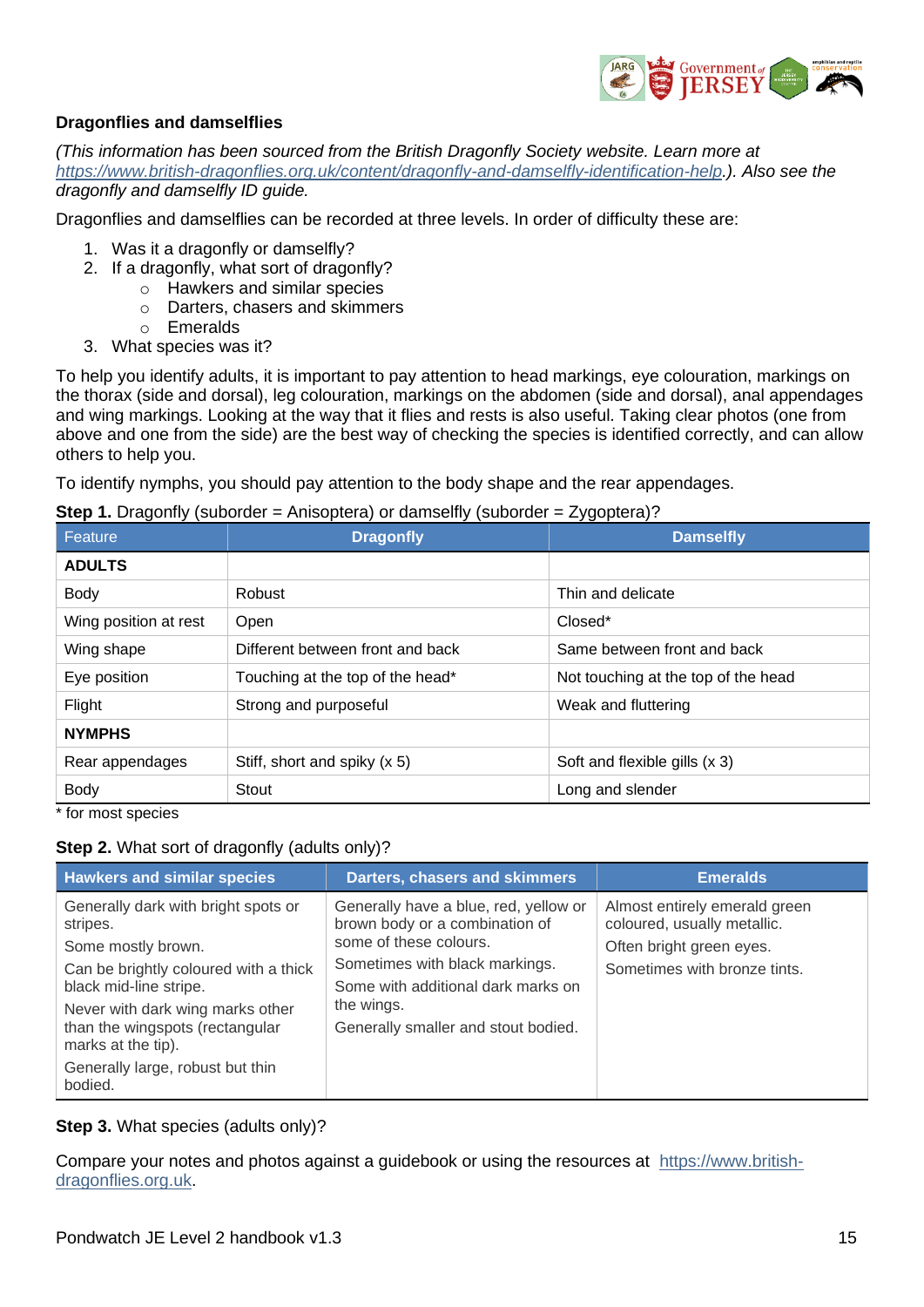

#### **Dragonflies and damselflies**

*(This information has been sourced from the British Dragonfly Society website. Learn more at [https://www.british-dragonflies.org.uk/content/dragonfly-and-damselfly-identification-help.](https://www.british-dragonflies.org.uk/content/dragonfly-and-damselfly-identification-help)). Also see the dragonfly and damselfly ID guide.*

Dragonflies and damselflies can be recorded at three levels. In order of difficulty these are:

- 1. Was it a dragonfly or damselfly?
- 2. If a dragonfly, what sort of dragonfly?
	- o Hawkers and similar species
		- o Darters, chasers and skimmers
		- o Emeralds
- 3. What species was it?

To help you identify adults, it is important to pay attention to head markings, eye colouration, markings on the thorax (side and dorsal), leg colouration, markings on the abdomen (side and dorsal), anal appendages and wing markings. Looking at the way that it flies and rests is also useful. Taking clear photos (one from above and one from the side) are the best way of checking the species is identified correctly, and can allow others to help you.

To identify nymphs, you should pay attention to the body shape and the rear appendages.

**Step 1.** Dragonfly (suborder = Anisoptera) or damselfly (suborder = Zygoptera)?

| Feature               | <b>Dragonfly</b>                 | .<br><b>Damselfly</b>               |  |
|-----------------------|----------------------------------|-------------------------------------|--|
| <b>ADULTS</b>         |                                  |                                     |  |
| <b>Body</b>           | Robust                           | Thin and delicate                   |  |
| Wing position at rest | Open                             | Closed*                             |  |
| Wing shape            | Different between front and back | Same between front and back         |  |
| Eye position          | Touching at the top of the head* | Not touching at the top of the head |  |
| Flight                | Strong and purposeful            | Weak and fluttering                 |  |
| <b>NYMPHS</b>         |                                  |                                     |  |
| Rear appendages       | Stiff, short and spiky (x 5)     | Soft and flexible gills (x 3)       |  |
| <b>Body</b>           | Stout                            | Long and slender                    |  |

\* for most species

#### **Step 2.** What sort of dragonfly (adults only)?

| <b>Hawkers and similar species</b>                                                        | <b>Darters, chasers and skimmers</b>                                                              | <b>Emeralds</b>                                                                          |
|-------------------------------------------------------------------------------------------|---------------------------------------------------------------------------------------------------|------------------------------------------------------------------------------------------|
| Generally dark with bright spots or<br>stripes.<br>Some mostly brown.                     | Generally have a blue, red, yellow or<br>brown body or a combination of<br>some of these colours. | Almost entirely emerald green<br>coloured, usually metallic.<br>Often bright green eyes. |
| Can be brightly coloured with a thick<br>black mid-line stripe.                           | Sometimes with black markings.<br>Some with additional dark marks on                              | Sometimes with bronze tints.                                                             |
| Never with dark wing marks other<br>than the wingspots (rectangular<br>marks at the tip). | the wings.<br>Generally smaller and stout bodied.                                                 |                                                                                          |
| Generally large, robust but thin<br>bodied.                                               |                                                                                                   |                                                                                          |

**Step 3.** What species (adults only)?

Compare your notes and photos against a guidebook or using the resources at [https://www.british](https://www.british-dragonflies.org.uk/)[dragonflies.org.uk.](https://www.british-dragonflies.org.uk/)